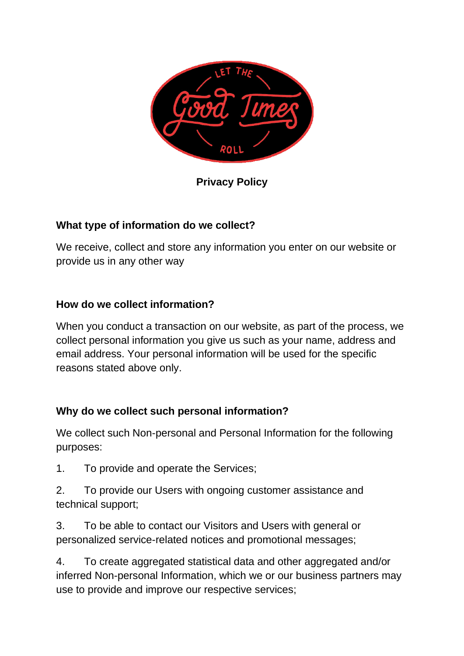

**Privacy Policy**

# **What type of information do we collect?**

We receive, collect and store any information you enter on our website or provide us in any other way

## **How do we collect information?**

When you conduct a transaction on our website, as part of the process, we collect personal information you give us such as your name, address and email address. Your personal information will be used for the specific reasons stated above only.

## **Why do we collect such personal information?**

We collect such Non-personal and Personal Information for the following purposes:

1. To provide and operate the Services;

2. To provide our Users with ongoing customer assistance and technical support;

3. To be able to contact our Visitors and Users with general or personalized service-related notices and promotional messages;

4. To create aggregated statistical data and other aggregated and/or inferred Non-personal Information, which we or our business partners may use to provide and improve our respective services;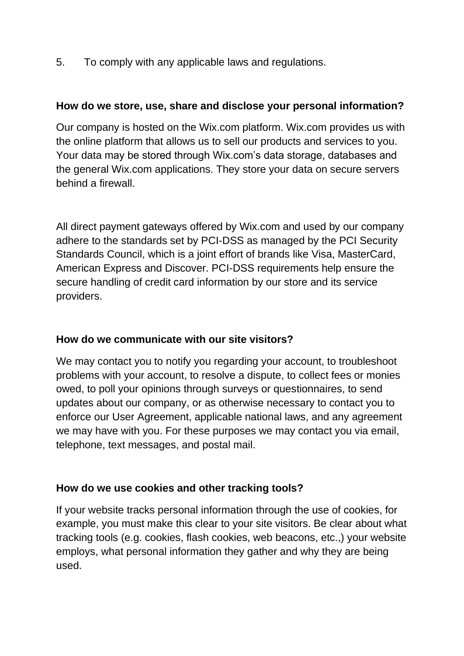5. To comply with any applicable laws and regulations.

### **How do we store, use, share and disclose your personal information?**

Our company is hosted on the Wix.com platform. Wix.com provides us with the online platform that allows us to sell our products and services to you. Your data may be stored through Wix.com's data storage, databases and the general Wix.com applications. They store your data on secure servers behind a firewall.

All direct payment gateways offered by Wix.com and used by our company adhere to the standards set by PCI-DSS as managed by the PCI Security Standards Council, which is a joint effort of brands like Visa, MasterCard, American Express and Discover. PCI-DSS requirements help ensure the secure handling of credit card information by our store and its service providers.

## **How do we communicate with our site visitors?**

We may contact you to notify you regarding your account, to troubleshoot problems with your account, to resolve a dispute, to collect fees or monies owed, to poll your opinions through surveys or questionnaires, to send updates about our company, or as otherwise necessary to contact you to enforce our User Agreement, applicable national laws, and any agreement we may have with you. For these purposes we may contact you via email, telephone, text messages, and postal mail.

## **How do we use cookies and other tracking tools?**

If your website tracks personal information through the use of cookies, for example, you must make this clear to your site visitors. Be clear about what tracking tools (e.g. cookies, flash cookies, web beacons, etc.,) your website employs, what personal information they gather and why they are being used.